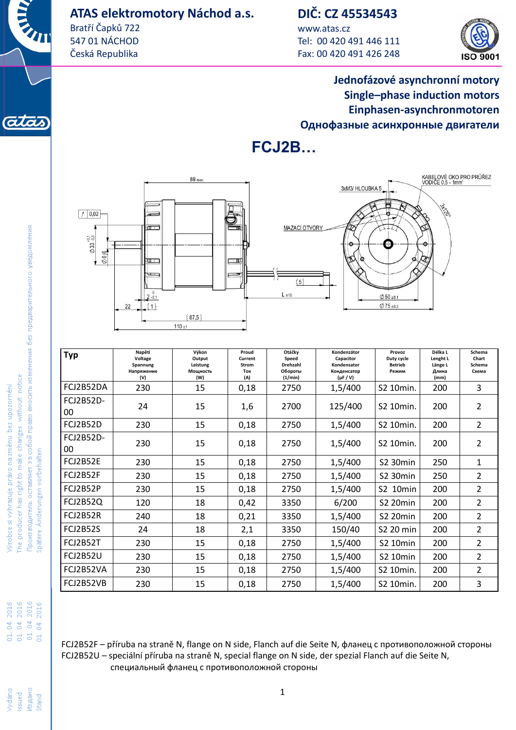### **ATAS elektromotory Náchod a.s.**

Bratří Čapků 722 547 01 NÁCHOD Česká Republika

## **DIČ: CZ 45534543**

www.atas.cz Tel: 00 420 491 446 111 Fax: 00 420 491 426 248



### **Jednofázové asynchronní motory Single–phase induction motors Einphasen-asynchronmotoren Однофазные асинхронные двигатели**





| <b>Typ</b>             | Napětí<br>Voltage<br>Spannung<br>Напряжение<br>(V) | Výkon<br>Output<br>Leistung<br>Мощность<br>(W) | Proud<br>Current<br>Strom<br>Ток<br>(A) | Otáčky<br>Speed<br>Drehzahl<br>Обороты<br>(1/min) | Kondenzátor<br>Capacitor<br>Kondensator<br>Конденсатор<br>$(\mu F / V)$ | Provoz<br>Duty cycle<br><b>Betrieb</b><br>Режим | Délka L<br>Lenght L<br>Länge L<br>Длина<br>(mm) | Schema<br>Chart<br>Schema<br>Схема |
|------------------------|----------------------------------------------------|------------------------------------------------|-----------------------------------------|---------------------------------------------------|-------------------------------------------------------------------------|-------------------------------------------------|-------------------------------------------------|------------------------------------|
| FCJ2B52DA              | 230                                                | 15                                             | 0,18                                    | 2750                                              | 1,5/400                                                                 | S2 10min.                                       | 200                                             | 3                                  |
| <b>FCJ2B52D-</b><br>00 | 24                                                 | 15                                             | 1,6                                     | 2700                                              | 125/400                                                                 | S2 10min.                                       | 200                                             | 2                                  |
| <b>FCJ2B52D</b>        | 230                                                | 15                                             | 0,18                                    | 2750                                              | 1,5/400                                                                 | S2 10min.                                       | 200                                             | $\overline{2}$                     |
| <b>FCJ2B52D-</b><br>00 | 230                                                | 15                                             | 0,18                                    | 2750                                              | 1,5/400                                                                 | S2 10min.                                       | 200                                             | $\overline{2}$                     |
| <b>FCJ2B52E</b>        | 230                                                | 15                                             | 0,18                                    | 2750                                              | 1,5/400                                                                 | <b>S2 30min</b>                                 | 250                                             | $\mathbf{1}$                       |
| FCJ2B52F               | 230                                                | 15                                             | 0,18                                    | 2750                                              | 1,5/400                                                                 | <b>S2 30min</b>                                 | 250                                             | $\overline{2}$                     |
| FCJ2B52P               | 230                                                | 15                                             | 0,18                                    | 2750                                              | 1,5/400                                                                 | <b>S2 10min</b>                                 | 200                                             | $\overline{2}$                     |
| <b>FCJ2B52Q</b>        | 120                                                | 18                                             | 0,42                                    | 3350                                              | 6/200                                                                   | <b>S2 20min</b>                                 | 200                                             | $\overline{2}$                     |
| FCJ2B52R               | 240                                                | 18                                             | 0,21                                    | 3350                                              | 1,5/400                                                                 | <b>S2 20min</b>                                 | 200                                             | $\overline{2}$                     |
| <b>FCJ2B52S</b>        | 24                                                 | 18                                             | 2,1                                     | 3350                                              | 150/40                                                                  | S2 20 min                                       | 200                                             | $\overline{2}$                     |
| <b>FCJ2B52T</b>        | 230                                                | 15                                             | 0,18                                    | 2750                                              | 1,5/400                                                                 | S2 10min                                        | 200                                             | $\overline{2}$                     |
| <b>FCJ2B52U</b>        | 230                                                | 15                                             | 0,18                                    | 2750                                              | 1,5/400                                                                 | <b>S2 10min</b>                                 | 200                                             | $\overline{2}$                     |
| FCJ2B52VA              | 230                                                | 15                                             | 0,18                                    | 2750                                              | 1,5/400                                                                 | S2 10min.                                       | 200                                             | $\overline{2}$                     |
| FCJ2B52VB              | 230                                                | 15                                             | 0,18                                    | 2750                                              | 1,5/400                                                                 | S2 10min.                                       | 200                                             | 3                                  |

FCJ2B52F – příruba na straně N, flange on N side, Flanch auf die Seite N, фланец с противоположной стороны FCJ2B52U – speciální příruba na straně N, special flange on N side, der spezial Flanch auf die Seite N, специальный фланец с противоположной стороны

(ata

01.04.2016<br>01.04.2016<br>01.04.2016